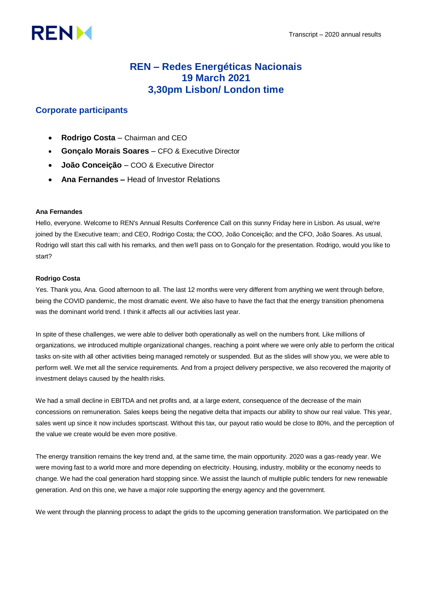# **RENM**

# **REN – Redes Energéticas Nacionais 19 March 2021 3,30pm Lisbon/ London time**

# **Corporate participants**

- **Rodrigo Costa**  Chairman and CEO
- **Gonçalo Morais Soares**  CFO & Executive Director
- **João Conceição**  COO & Executive Director
- **Ana Fernandes –** Head of Investor Relations

## **Ana Fernandes**

Hello, everyone. Welcome to REN's Annual Results Conference Call on this sunny Friday here in Lisbon. As usual, we're joined by the Executive team; and CEO, Rodrigo Costa; the COO, João Conceição; and the CFO, João Soares. As usual, Rodrigo will start this call with his remarks, and then we'll pass on to Gonçalo for the presentation. Rodrigo, would you like to start?

## **Rodrigo Costa**

Yes. Thank you, Ana. Good afternoon to all. The last 12 months were very different from anything we went through before, being the COVID pandemic, the most dramatic event. We also have to have the fact that the energy transition phenomena was the dominant world trend. I think it affects all our activities last year.

In spite of these challenges, we were able to deliver both operationally as well on the numbers front. Like millions of organizations, we introduced multiple organizational changes, reaching a point where we were only able to perform the critical tasks on-site with all other activities being managed remotely or suspended. But as the slides will show you, we were able to perform well. We met all the service requirements. And from a project delivery perspective, we also recovered the majority of investment delays caused by the health risks.

We had a small decline in EBITDA and net profits and, at a large extent, consequence of the decrease of the main concessions on remuneration. Sales keeps being the negative delta that impacts our ability to show our real value. This year, sales went up since it now includes sportscast. Without this tax, our payout ratio would be close to 80%, and the perception of the value we create would be even more positive.

The energy transition remains the key trend and, at the same time, the main opportunity. 2020 was a gas-ready year. We were moving fast to a world more and more depending on electricity. Housing, industry, mobility or the economy needs to change. We had the coal generation hard stopping since. We assist the launch of multiple public tenders for new renewable generation. And on this one, we have a major role supporting the energy agency and the government.

We went through the planning process to adapt the grids to the upcoming generation transformation. We participated on the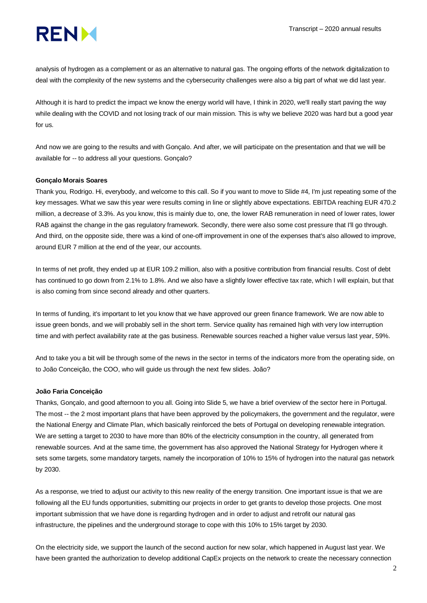

analysis of hydrogen as a complement or as an alternative to natural gas. The ongoing efforts of the network digitalization to deal with the complexity of the new systems and the cybersecurity challenges were also a big part of what we did last year.

Although it is hard to predict the impact we know the energy world will have, I think in 2020, we'll really start paving the way while dealing with the COVID and not losing track of our main mission. This is why we believe 2020 was hard but a good year for us.

And now we are going to the results and with Gonçalo. And after, we will participate on the presentation and that we will be available for -- to address all your questions. Gonçalo?

#### **Gonçalo Morais Soares**

Thank you, Rodrigo. Hi, everybody, and welcome to this call. So if you want to move to Slide #4, I'm just repeating some of the key messages. What we saw this year were results coming in line or slightly above expectations. EBITDA reaching EUR 470.2 million, a decrease of 3.3%. As you know, this is mainly due to, one, the lower RAB remuneration in need of lower rates, lower RAB against the change in the gas regulatory framework. Secondly, there were also some cost pressure that I'll go through. And third, on the opposite side, there was a kind of one-off improvement in one of the expenses that's also allowed to improve, around EUR 7 million at the end of the year, our accounts.

In terms of net profit, they ended up at EUR 109.2 million, also with a positive contribution from financial results. Cost of debt has continued to go down from 2.1% to 1.8%. And we also have a slightly lower effective tax rate, which I will explain, but that is also coming from since second already and other quarters.

In terms of funding, it's important to let you know that we have approved our green finance framework. We are now able to issue green bonds, and we will probably sell in the short term. Service quality has remained high with very low interruption time and with perfect availability rate at the gas business. Renewable sources reached a higher value versus last year, 59%.

And to take you a bit will be through some of the news in the sector in terms of the indicators more from the operating side, on to João Conceição, the COO, who will guide us through the next few slides. João?

#### **João Faria Conceição**

Thanks, Gonçalo, and good afternoon to you all. Going into Slide 5, we have a brief overview of the sector here in Portugal. The most -- the 2 most important plans that have been approved by the policymakers, the government and the regulator, were the National Energy and Climate Plan, which basically reinforced the bets of Portugal on developing renewable integration. We are setting a target to 2030 to have more than 80% of the electricity consumption in the country, all generated from renewable sources. And at the same time, the government has also approved the National Strategy for Hydrogen where it sets some targets, some mandatory targets, namely the incorporation of 10% to 15% of hydrogen into the natural gas network by 2030.

As a response, we tried to adjust our activity to this new reality of the energy transition. One important issue is that we are following all the EU funds opportunities, submitting our projects in order to get grants to develop those projects. One most important submission that we have done is regarding hydrogen and in order to adjust and retrofit our natural gas infrastructure, the pipelines and the underground storage to cope with this 10% to 15% target by 2030.

On the electricity side, we support the launch of the second auction for new solar, which happened in August last year. We have been granted the authorization to develop additional CapEx projects on the network to create the necessary connection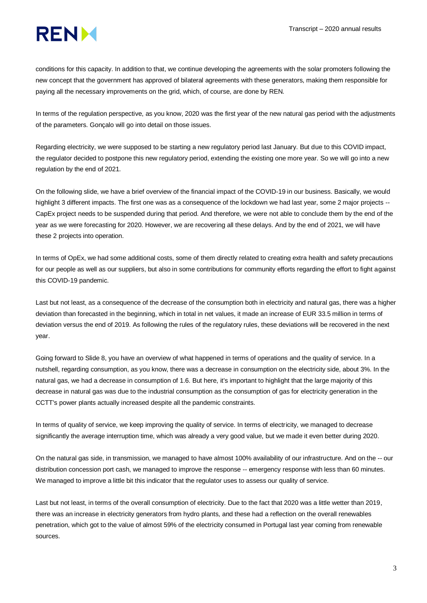

conditions for this capacity. In addition to that, we continue developing the agreements with the solar promoters following the new concept that the government has approved of bilateral agreements with these generators, making them responsible for paying all the necessary improvements on the grid, which, of course, are done by REN.

In terms of the regulation perspective, as you know, 2020 was the first year of the new natural gas period with the adjustments of the parameters. Gonçalo will go into detail on those issues.

Regarding electricity, we were supposed to be starting a new regulatory period last January. But due to this COVID impact, the regulator decided to postpone this new regulatory period, extending the existing one more year. So we will go into a new regulation by the end of 2021.

On the following slide, we have a brief overview of the financial impact of the COVID-19 in our business. Basically, we would highlight 3 different impacts. The first one was as a consequence of the lockdown we had last year, some 2 major projects --CapEx project needs to be suspended during that period. And therefore, we were not able to conclude them by the end of the year as we were forecasting for 2020. However, we are recovering all these delays. And by the end of 2021, we will have these 2 projects into operation.

In terms of OpEx, we had some additional costs, some of them directly related to creating extra health and safety precautions for our people as well as our suppliers, but also in some contributions for community efforts regarding the effort to fight against this COVID-19 pandemic.

Last but not least, as a consequence of the decrease of the consumption both in electricity and natural gas, there was a higher deviation than forecasted in the beginning, which in total in net values, it made an increase of EUR 33.5 million in terms of deviation versus the end of 2019. As following the rules of the regulatory rules, these deviations will be recovered in the next year.

Going forward to Slide 8, you have an overview of what happened in terms of operations and the quality of service. In a nutshell, regarding consumption, as you know, there was a decrease in consumption on the electricity side, about 3%. In the natural gas, we had a decrease in consumption of 1.6. But here, it's important to highlight that the large majority of this decrease in natural gas was due to the industrial consumption as the consumption of gas for electricity generation in the CCTT's power plants actually increased despite all the pandemic constraints.

In terms of quality of service, we keep improving the quality of service. In terms of electricity, we managed to decrease significantly the average interruption time, which was already a very good value, but we made it even better during 2020.

On the natural gas side, in transmission, we managed to have almost 100% availability of our infrastructure. And on the -- our distribution concession port cash, we managed to improve the response -- emergency response with less than 60 minutes. We managed to improve a little bit this indicator that the regulator uses to assess our quality of service.

Last but not least, in terms of the overall consumption of electricity. Due to the fact that 2020 was a little wetter than 2019, there was an increase in electricity generators from hydro plants, and these had a reflection on the overall renewables penetration, which got to the value of almost 59% of the electricity consumed in Portugal last year coming from renewable sources.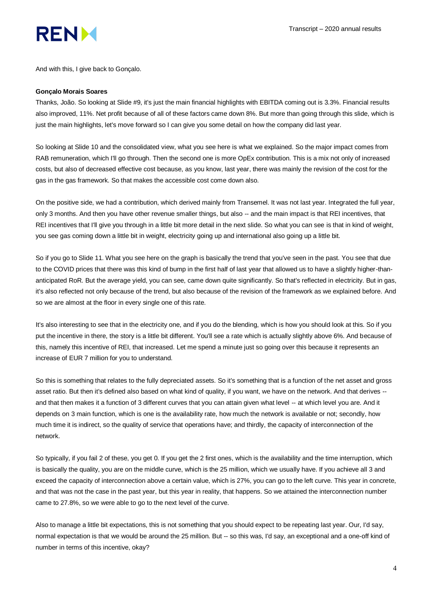

And with this, I give back to Gonçalo.

#### **Gonçalo Morais Soares**

Thanks, João. So looking at Slide #9, it's just the main financial highlights with EBITDA coming out is 3.3%. Financial results also improved, 11%. Net profit because of all of these factors came down 8%. But more than going through this slide, which is just the main highlights, let's move forward so I can give you some detail on how the company did last year.

So looking at Slide 10 and the consolidated view, what you see here is what we explained. So the major impact comes from RAB remuneration, which I'll go through. Then the second one is more OpEx contribution. This is a mix not only of increased costs, but also of decreased effective cost because, as you know, last year, there was mainly the revision of the cost for the gas in the gas framework. So that makes the accessible cost come down also.

On the positive side, we had a contribution, which derived mainly from Transemel. It was not last year. Integrated the full year, only 3 months. And then you have other revenue smaller things, but also -- and the main impact is that REI incentives, that REI incentives that I'll give you through in a little bit more detail in the next slide. So what you can see is that in kind of weight, you see gas coming down a little bit in weight, electricity going up and international also going up a little bit.

So if you go to Slide 11. What you see here on the graph is basically the trend that you've seen in the past. You see that due to the COVID prices that there was this kind of bump in the first half of last year that allowed us to have a slightly higher-thananticipated RoR. But the average yield, you can see, came down quite significantly. So that's reflected in electricity. But in gas, it's also reflected not only because of the trend, but also because of the revision of the framework as we explained before. And so we are almost at the floor in every single one of this rate.

It's also interesting to see that in the electricity one, and if you do the blending, which is how you should look at this. So if you put the incentive in there, the story is a little bit different. You'll see a rate which is actually slightly above 6%. And because of this, namely this incentive of REI, that increased. Let me spend a minute just so going over this because it represents an increase of EUR 7 million for you to understand.

So this is something that relates to the fully depreciated assets. So it's something that is a function of the net asset and gross asset ratio. But then it's defined also based on what kind of quality, if you want, we have on the network. And that derives - and that then makes it a function of 3 different curves that you can attain given what level -- at which level you are. And it depends on 3 main function, which is one is the availability rate, how much the network is available or not; secondly, how much time it is indirect, so the quality of service that operations have; and thirdly, the capacity of interconnection of the network.

So typically, if you fail 2 of these, you get 0. If you get the 2 first ones, which is the availability and the time interruption, which is basically the quality, you are on the middle curve, which is the 25 million, which we usually have. If you achieve all 3 and exceed the capacity of interconnection above a certain value, which is 27%, you can go to the left curve. This year in concrete, and that was not the case in the past year, but this year in reality, that happens. So we attained the interconnection number came to 27.8%, so we were able to go to the next level of the curve.

Also to manage a little bit expectations, this is not something that you should expect to be repeating last year. Our, I'd say, normal expectation is that we would be around the 25 million. But -- so this was, I'd say, an exceptional and a one-off kind of number in terms of this incentive, okay?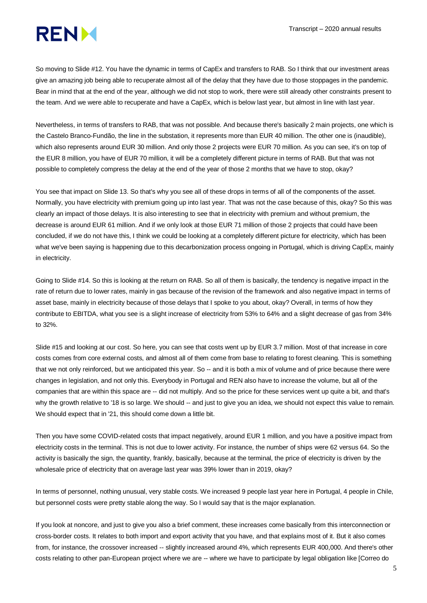

So moving to Slide #12. You have the dynamic in terms of CapEx and transfers to RAB. So I think that our investment areas give an amazing job being able to recuperate almost all of the delay that they have due to those stoppages in the pandemic. Bear in mind that at the end of the year, although we did not stop to work, there were still already other constraints present to the team. And we were able to recuperate and have a CapEx, which is below last year, but almost in line with last year.

Nevertheless, in terms of transfers to RAB, that was not possible. And because there's basically 2 main projects, one which is the Castelo Branco-Fundão, the line in the substation, it represents more than EUR 40 million. The other one is (inaudible), which also represents around EUR 30 million. And only those 2 projects were EUR 70 million. As you can see, it's on top of the EUR 8 million, you have of EUR 70 million, it will be a completely different picture in terms of RAB. But that was not possible to completely compress the delay at the end of the year of those 2 months that we have to stop, okay?

You see that impact on Slide 13. So that's why you see all of these drops in terms of all of the components of the asset. Normally, you have electricity with premium going up into last year. That was not the case because of this, okay? So this was clearly an impact of those delays. It is also interesting to see that in electricity with premium and without premium, the decrease is around EUR 61 million. And if we only look at those EUR 71 million of those 2 projects that could have been concluded, if we do not have this, I think we could be looking at a completely different picture for electricity, which has been what we've been saying is happening due to this decarbonization process ongoing in Portugal, which is driving CapEx, mainly in electricity.

Going to Slide #14. So this is looking at the return on RAB. So all of them is basically, the tendency is negative impact in the rate of return due to lower rates, mainly in gas because of the revision of the framework and also negative impact in terms of asset base, mainly in electricity because of those delays that I spoke to you about, okay? Overall, in terms of how they contribute to EBITDA, what you see is a slight increase of electricity from 53% to 64% and a slight decrease of gas from 34% to 32%.

Slide #15 and looking at our cost. So here, you can see that costs went up by EUR 3.7 million. Most of that increase in core costs comes from core external costs, and almost all of them come from base to relating to forest cleaning. This is something that we not only reinforced, but we anticipated this year. So -- and it is both a mix of volume and of price because there were changes in legislation, and not only this. Everybody in Portugal and REN also have to increase the volume, but all of the companies that are within this space are -- did not multiply. And so the price for these services went up quite a bit, and that's why the growth relative to '18 is so large. We should -- and just to give you an idea, we should not expect this value to remain. We should expect that in '21, this should come down a little bit.

Then you have some COVID-related costs that impact negatively, around EUR 1 million, and you have a positive impact from electricity costs in the terminal. This is not due to lower activity. For instance, the number of ships were 62 versus 64. So the activity is basically the sign, the quantity, frankly, basically, because at the terminal, the price of electricity is driven by the wholesale price of electricity that on average last year was 39% lower than in 2019, okay?

In terms of personnel, nothing unusual, very stable costs. We increased 9 people last year here in Portugal, 4 people in Chile, but personnel costs were pretty stable along the way. So I would say that is the major explanation.

If you look at noncore, and just to give you also a brief comment, these increases come basically from this interconnection or cross-border costs. It relates to both import and export activity that you have, and that explains most of it. But it also comes from, for instance, the crossover increased -- slightly increased around 4%, which represents EUR 400,000. And there's other costs relating to other pan-European project where we are -- where we have to participate by legal obligation like [Correo do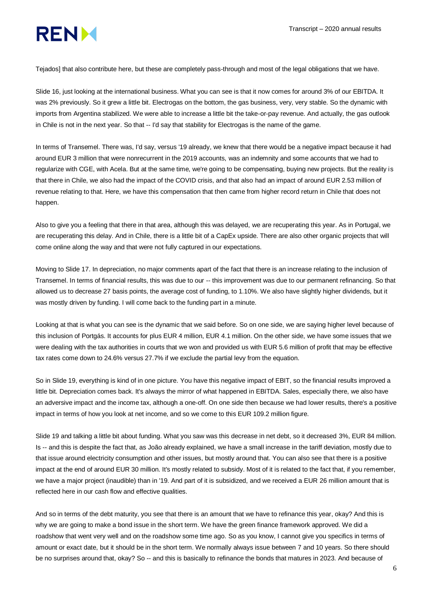

Tejados] that also contribute here, but these are completely pass-through and most of the legal obligations that we have.

Slide 16, just looking at the international business. What you can see is that it now comes for around 3% of our EBITDA. It was 2% previously. So it grew a little bit. Electrogas on the bottom, the gas business, very, very stable. So the dynamic with imports from Argentina stabilized. We were able to increase a little bit the take-or-pay revenue. And actually, the gas outlook in Chile is not in the next year. So that -- I'd say that stability for Electrogas is the name of the game.

In terms of Transemel. There was, I'd say, versus '19 already, we knew that there would be a negative impact because it had around EUR 3 million that were nonrecurrent in the 2019 accounts, was an indemnity and some accounts that we had to regularize with CGE, with Acela. But at the same time, we're going to be compensating, buying new projects. But the reality is that there in Chile, we also had the impact of the COVID crisis, and that also had an impact of around EUR 2.53 million of revenue relating to that. Here, we have this compensation that then came from higher record return in Chile that does not happen.

Also to give you a feeling that there in that area, although this was delayed, we are recuperating this year. As in Portugal, we are recuperating this delay. And in Chile, there is a little bit of a CapEx upside. There are also other organic projects that will come online along the way and that were not fully captured in our expectations.

Moving to Slide 17. In depreciation, no major comments apart of the fact that there is an increase relating to the inclusion of Transemel. In terms of financial results, this was due to our -- this improvement was due to our permanent refinancing. So that allowed us to decrease 27 basis points, the average cost of funding, to 1.10%. We also have slightly higher dividends, but it was mostly driven by funding. I will come back to the funding part in a minute.

Looking at that is what you can see is the dynamic that we said before. So on one side, we are saying higher level because of this inclusion of Portgás. It accounts for plus EUR 4 million, EUR 4.1 million. On the other side, we have some issues that we were dealing with the tax authorities in courts that we won and provided us with EUR 5.6 million of profit that may be effective tax rates come down to 24.6% versus 27.7% if we exclude the partial levy from the equation.

So in Slide 19, everything is kind of in one picture. You have this negative impact of EBIT, so the financial results improved a little bit. Depreciation comes back. It's always the mirror of what happened in EBITDA. Sales, especially there, we also have an adversive impact and the income tax, although a one-off. On one side then because we had lower results, there's a positive impact in terms of how you look at net income, and so we come to this EUR 109.2 million figure.

Slide 19 and talking a little bit about funding. What you saw was this decrease in net debt, so it decreased 3%, EUR 84 million. Is -- and this is despite the fact that, as João already explained, we have a small increase in the tariff deviation, mostly due to that issue around electricity consumption and other issues, but mostly around that. You can also see that there is a positive impact at the end of around EUR 30 million. It's mostly related to subsidy. Most of it is related to the fact that, if you remember, we have a major project (inaudible) than in '19. And part of it is subsidized, and we received a EUR 26 million amount that is reflected here in our cash flow and effective qualities.

And so in terms of the debt maturity, you see that there is an amount that we have to refinance this year, okay? And this is why we are going to make a bond issue in the short term. We have the green finance framework approved. We did a roadshow that went very well and on the roadshow some time ago. So as you know, I cannot give you specifics in terms of amount or exact date, but it should be in the short term. We normally always issue between 7 and 10 years. So there should be no surprises around that, okay? So -- and this is basically to refinance the bonds that matures in 2023. And because of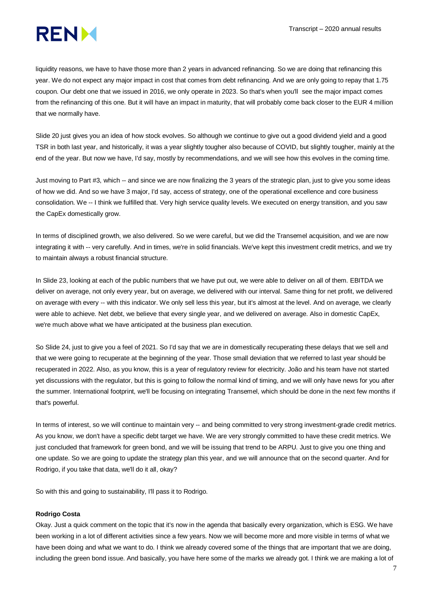# **RENM**

liquidity reasons, we have to have those more than 2 years in advanced refinancing. So we are doing that refinancing this year. We do not expect any major impact in cost that comes from debt refinancing. And we are only going to repay that 1.75 coupon. Our debt one that we issued in 2016, we only operate in 2023. So that's when you'll see the major impact comes from the refinancing of this one. But it will have an impact in maturity, that will probably come back closer to the EUR 4 million that we normally have.

Slide 20 just gives you an idea of how stock evolves. So although we continue to give out a good dividend yield and a good TSR in both last year, and historically, it was a year slightly tougher also because of COVID, but slightly tougher, mainly at the end of the year. But now we have, I'd say, mostly by recommendations, and we will see how this evolves in the coming time.

Just moving to Part #3, which -- and since we are now finalizing the 3 years of the strategic plan, just to give you some ideas of how we did. And so we have 3 major, I'd say, access of strategy, one of the operational excellence and core business consolidation. We -- I think we fulfilled that. Very high service quality levels. We executed on energy transition, and you saw the CapEx domestically grow.

In terms of disciplined growth, we also delivered. So we were careful, but we did the Transemel acquisition, and we are now integrating it with -- very carefully. And in times, we're in solid financials. We've kept this investment credit metrics, and we try to maintain always a robust financial structure.

In Slide 23, looking at each of the public numbers that we have put out, we were able to deliver on all of them. EBITDA we deliver on average, not only every year, but on average, we delivered with our interval. Same thing for net profit, we delivered on average with every -- with this indicator. We only sell less this year, but it's almost at the level. And on average, we clearly were able to achieve. Net debt, we believe that every single year, and we delivered on average. Also in domestic CapEx, we're much above what we have anticipated at the business plan execution.

So Slide 24, just to give you a feel of 2021. So I'd say that we are in domestically recuperating these delays that we sell and that we were going to recuperate at the beginning of the year. Those small deviation that we referred to last year should be recuperated in 2022. Also, as you know, this is a year of regulatory review for electricity. João and his team have not started yet discussions with the regulator, but this is going to follow the normal kind of timing, and we will only have news for you after the summer. International footprint, we'll be focusing on integrating Transemel, which should be done in the next few months if that's powerful.

In terms of interest, so we will continue to maintain very -- and being committed to very strong investment-grade credit metrics. As you know, we don't have a specific debt target we have. We are very strongly committed to have these credit metrics. We just concluded that framework for green bond, and we will be issuing that trend to be ARPU. Just to give you one thing and one update. So we are going to update the strategy plan this year, and we will announce that on the second quarter. And for Rodrigo, if you take that data, we'll do it all, okay?

So with this and going to sustainability, I'll pass it to Rodrigo.

#### **Rodrigo Costa**

Okay. Just a quick comment on the topic that it's now in the agenda that basically every organization, which is ESG. We have been working in a lot of different activities since a few years. Now we will become more and more visible in terms of what we have been doing and what we want to do. I think we already covered some of the things that are important that we are doing, including the green bond issue. And basically, you have here some of the marks we already got. I think we are making a lot of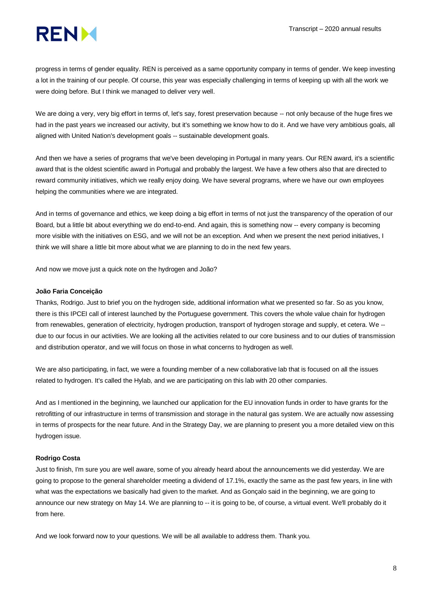

progress in terms of gender equality. REN is perceived as a same opportunity company in terms of gender. We keep investing a lot in the training of our people. Of course, this year was especially challenging in terms of keeping up with all the work we were doing before. But I think we managed to deliver very well.

We are doing a very, very big effort in terms of, let's say, forest preservation because -- not only because of the huge fires we had in the past years we increased our activity, but it's something we know how to do it. And we have very ambitious goals, all aligned with United Nation's development goals -- sustainable development goals.

And then we have a series of programs that we've been developing in Portugal in many years. Our REN award, it's a scientific award that is the oldest scientific award in Portugal and probably the largest. We have a few others also that are directed to reward community initiatives, which we really enjoy doing. We have several programs, where we have our own employees helping the communities where we are integrated.

And in terms of governance and ethics, we keep doing a big effort in terms of not just the transparency of the operation of our Board, but a little bit about everything we do end-to-end. And again, this is something now -- every company is becoming more visible with the initiatives on ESG, and we will not be an exception. And when we present the next period initiatives, I think we will share a little bit more about what we are planning to do in the next few years.

And now we move just a quick note on the hydrogen and João?

#### **João Faria Conceição**

Thanks, Rodrigo. Just to brief you on the hydrogen side, additional information what we presented so far. So as you know, there is this IPCEI call of interest launched by the Portuguese government. This covers the whole value chain for hydrogen from renewables, generation of electricity, hydrogen production, transport of hydrogen storage and supply, et cetera. We - due to our focus in our activities. We are looking all the activities related to our core business and to our duties of transmission and distribution operator, and we will focus on those in what concerns to hydrogen as well.

We are also participating, in fact, we were a founding member of a new collaborative lab that is focused on all the issues related to hydrogen. It's called the Hylab, and we are participating on this lab with 20 other companies.

And as I mentioned in the beginning, we launched our application for the EU innovation funds in order to have grants for the retrofitting of our infrastructure in terms of transmission and storage in the natural gas system. We are actually now assessing in terms of prospects for the near future. And in the Strategy Day, we are planning to present you a more detailed view on this hydrogen issue.

### **Rodrigo Costa**

Just to finish, I'm sure you are well aware, some of you already heard about the announcements we did yesterday. We are going to propose to the general shareholder meeting a dividend of 17.1%, exactly the same as the past few years, in line with what was the expectations we basically had given to the market. And as Gonçalo said in the beginning, we are going to announce our new strategy on May 14. We are planning to -- it is going to be, of course, a virtual event. We'll probably do it from here.

And we look forward now to your questions. We will be all available to address them. Thank you.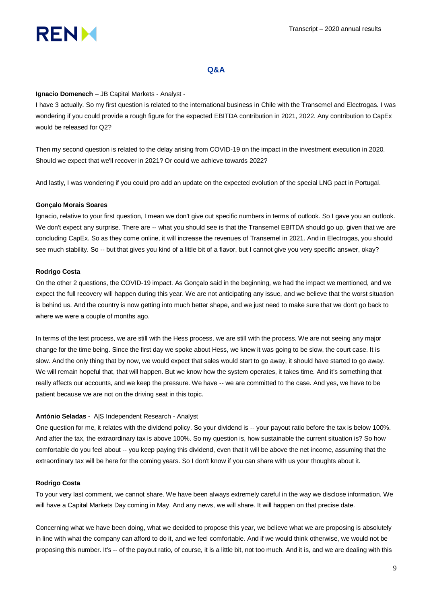

## **Q&A**

#### **Ignacio Domenech** – JB Capital Markets - Analyst *-*

I have 3 actually. So my first question is related to the international business in Chile with the Transemel and Electrogas. I was wondering if you could provide a rough figure for the expected EBITDA contribution in 2021, 2022. Any contribution to CapEx would be released for Q2?

Then my second question is related to the delay arising from COVID-19 on the impact in the investment execution in 2020. Should we expect that we'll recover in 2021? Or could we achieve towards 2022?

And lastly, I was wondering if you could pro add an update on the expected evolution of the special LNG pact in Portugal.

#### **Gonçalo Morais Soares**

Ignacio, relative to your first question, I mean we don't give out specific numbers in terms of outlook. So I gave you an outlook. We don't expect any surprise. There are -- what you should see is that the Transemel EBITDA should go up, given that we are concluding CapEx. So as they come online, it will increase the revenues of Transemel in 2021. And in Electrogas, you should see much stability. So -- but that gives you kind of a little bit of a flavor, but I cannot give you very specific answer, okay?

#### **Rodrigo Costa**

On the other 2 questions, the COVID-19 impact. As Gonçalo said in the beginning, we had the impact we mentioned, and we expect the full recovery will happen during this year. We are not anticipating any issue, and we believe that the worst situation is behind us. And the country is now getting into much better shape, and we just need to make sure that we don't go back to where we were a couple of months ago.

In terms of the test process, we are still with the Hess process, we are still with the process. We are not seeing any major change for the time being. Since the first day we spoke about Hess, we knew it was going to be slow, the court case. It is slow. And the only thing that by now, we would expect that sales would start to go away, it should have started to go away. We will remain hopeful that, that will happen. But we know how the system operates, it takes time. And it's something that really affects our accounts, and we keep the pressure. We have -- we are committed to the case. And yes, we have to be patient because we are not on the driving seat in this topic.

#### **António Seladas -** A|S Independent Research - Analyst

One question for me, it relates with the dividend policy. So your dividend is -- your payout ratio before the tax is below 100%. And after the tax, the extraordinary tax is above 100%. So my question is, how sustainable the current situation is? So how comfortable do you feel about -- you keep paying this dividend, even that it will be above the net income, assuming that the extraordinary tax will be here for the coming years. So I don't know if you can share with us your thoughts about it.

#### **Rodrigo Costa**

To your very last comment, we cannot share. We have been always extremely careful in the way we disclose information. We will have a Capital Markets Day coming in May. And any news, we will share. It will happen on that precise date.

Concerning what we have been doing, what we decided to propose this year, we believe what we are proposing is absolutely in line with what the company can afford to do it, and we feel comfortable. And if we would think otherwise, we would not be proposing this number. It's -- of the payout ratio, of course, it is a little bit, not too much. And it is, and we are dealing with this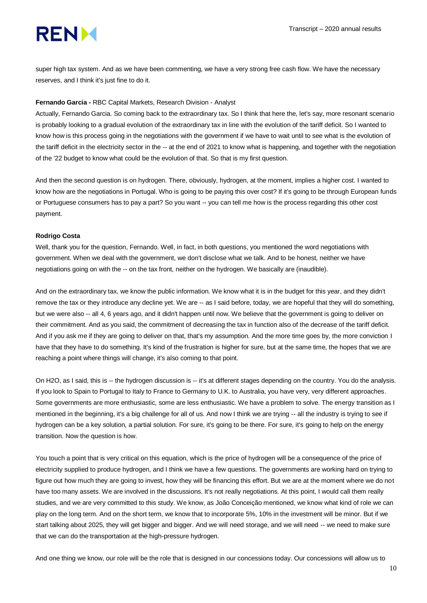super high tax system. And as we have been commenting, we have a very strong free cash flow. We have the necessary reserves, and I think it's just fine to do it.

#### **Fernando Garcia -** RBC Capital Markets, Research Division - Analyst

Actually, Fernando Garcia. So coming back to the extraordinary tax. So I think that here the, let's say, more resonant scenario is probably looking to a gradual evolution of the extraordinary tax in line with the evolution of the tariff deficit. So I wanted to know how is this process going in the negotiations with the government if we have to wait until to see what is the evolution of the tariff deficit in the electricity sector in the -- at the end of 2021 to know what is happening, and together with the negotiation of the '22 budget to know what could be the evolution of that. So that is my first question.

And then the second question is on hydrogen. There, obviously, hydrogen, at the moment, implies a higher cost. I wanted to know how are the negotiations in Portugal. Who is going to be paying this over cost? If it's going to be through European funds or Portuguese consumers has to pay a part? So you want -- you can tell me how is the process regarding this other cost payment.

#### **Rodrigo Costa**

Well, thank you for the question, Fernando. Well, in fact, in both questions, you mentioned the word negotiations with government. When we deal with the government, we don't disclose what we talk. And to be honest, neither we have negotiations going on with the -- on the tax front, neither on the hydrogen. We basically are (inaudible).

And on the extraordinary tax, we know the public information. We know what it is in the budget for this year, and they didn't remove the tax or they introduce any decline yet. We are -- as I said before, today, we are hopeful that they will do something, but we were also -- all 4, 6 years ago, and it didn't happen until now. We believe that the government is going to deliver on their commitment. And as you said, the commitment of decreasing the tax in function also of the decrease of the tariff deficit. And if you ask me if they are going to deliver on that, that's my assumption. And the more time goes by, the more conviction I have that they have to do something. It's kind of the frustration is higher for sure, but at the same time, the hopes that we are reaching a point where things will change, it's also coming to that point.

On H2O, as I said, this is -- the hydrogen discussion is -- it's at different stages depending on the country. You do the analysis. If you look to Spain to Portugal to Italy to France to Germany to U.K. to Australia, you have very, very different approaches. Some governments are more enthusiastic, some are less enthusiastic. We have a problem to solve. The energy transition as I mentioned in the beginning, it's a big challenge for all of us. And now I think we are trying -- all the industry is trying to see if hydrogen can be a key solution, a partial solution. For sure, it's going to be there. For sure, it's going to help on the energy transition. Now the question is how.

You touch a point that is very critical on this equation, which is the price of hydrogen will be a consequence of the price of electricity supplied to produce hydrogen, and I think we have a few questions. The governments are working hard on trying to figure out how much they are going to invest, how they will be financing this effort. But we are at the moment where we do not have too many assets. We are involved in the discussions. It's not really negotiations. At this point, I would call them really studies, and we are very committed to this study. We know, as João Conceição mentioned, we know what kind of role we can play on the long term. And on the short term, we know that to incorporate 5%, 10% in the investment will be minor. But if we start talking about 2025, they will get bigger and bigger. And we will need storage, and we will need -- we need to make sure that we can do the transportation at the high-pressure hydrogen.

And one thing we know, our role will be the role that is designed in our concessions today. Our concessions will allow us to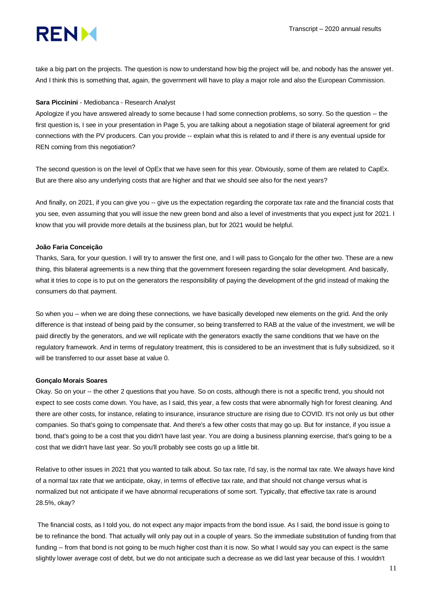take a big part on the projects. The question is now to understand how big the project will be, and nobody has the answer yet. And I think this is something that, again, the government will have to play a major role and also the European Commission.

#### **Sara Piccinini** - Mediobanca - Research Analyst

Apologize if you have answered already to some because I had some connection problems, so sorry. So the question -- the first question is, I see in your presentation in Page 5, you are talking about a negotiation stage of bilateral agreement for grid connections with the PV producers. Can you provide -- explain what this is related to and if there is any eventual upside for REN coming from this negotiation?

The second question is on the level of OpEx that we have seen for this year. Obviously, some of them are related to CapEx. But are there also any underlying costs that are higher and that we should see also for the next years?

And finally, on 2021, if you can give you -- give us the expectation regarding the corporate tax rate and the financial costs that you see, even assuming that you will issue the new green bond and also a level of investments that you expect just for 2021. I know that you will provide more details at the business plan, but for 2021 would be helpful.

#### **João Faria Conceição**

Thanks, Sara, for your question. I will try to answer the first one, and I will pass to Gonçalo for the other two. These are a new thing, this bilateral agreements is a new thing that the government foreseen regarding the solar development. And basically, what it tries to cope is to put on the generators the responsibility of paying the development of the grid instead of making the consumers do that payment.

So when you -- when we are doing these connections, we have basically developed new elements on the grid. And the only difference is that instead of being paid by the consumer, so being transferred to RAB at the value of the investment, we will be paid directly by the generators, and we will replicate with the generators exactly the same conditions that we have on the regulatory framework. And in terms of regulatory treatment, this is considered to be an investment that is fully subsidized, so it will be transferred to our asset base at value 0.

#### **Gonçalo Morais Soares**

Okay. So on your -- the other 2 questions that you have. So on costs, although there is not a specific trend, you should not expect to see costs come down. You have, as I said, this year, a few costs that were abnormally high for forest cleaning. And there are other costs, for instance, relating to insurance, insurance structure are rising due to COVID. It's not only us but other companies. So that's going to compensate that. And there's a few other costs that may go up. But for instance, if you issue a bond, that's going to be a cost that you didn't have last year. You are doing a business planning exercise, that's going to be a cost that we didn't have last year. So you'll probably see costs go up a little bit.

Relative to other issues in 2021 that you wanted to talk about. So tax rate, I'd say, is the normal tax rate. We always have kind of a normal tax rate that we anticipate, okay, in terms of effective tax rate, and that should not change versus what is normalized but not anticipate if we have abnormal recuperations of some sort. Typically, that effective tax rate is around 28.5%, okay?

The financial costs, as I told you, do not expect any major impacts from the bond issue. As I said, the bond issue is going to be to refinance the bond. That actually will only pay out in a couple of years. So the immediate substitution of funding from that funding -- from that bond is not going to be much higher cost than it is now. So what I would say you can expect is the same slightly lower average cost of debt, but we do not anticipate such a decrease as we did last year because of this. I wouldn't